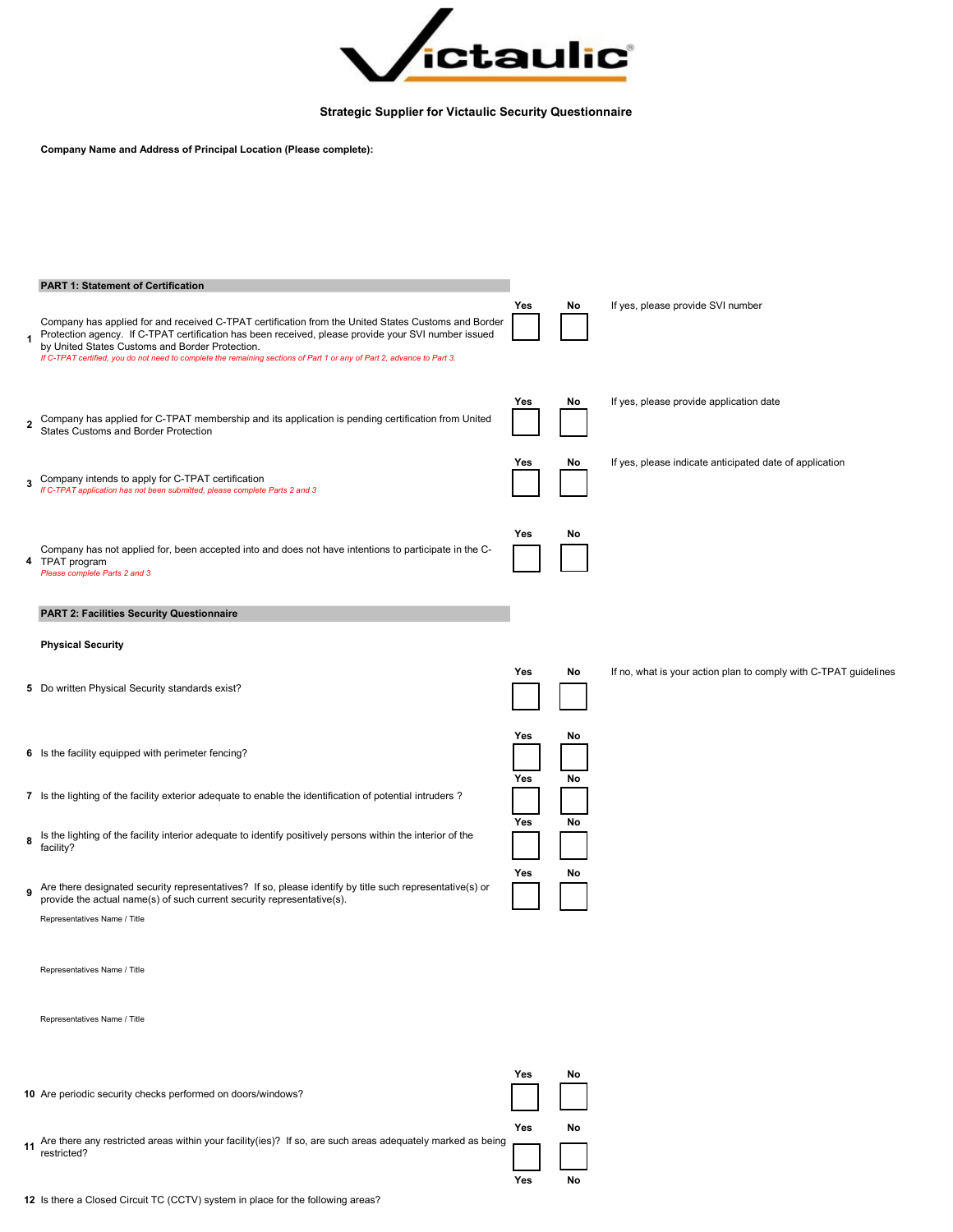

Strategic Supplier for Victaulic Security Questionnaire

Company Name and Address of Principal Location (Please complete):

|             | <b>PART 1: Statement of Certification</b>                                                                                                                                                                                                                                                                                                                                               |     |    |                                                                  |
|-------------|-----------------------------------------------------------------------------------------------------------------------------------------------------------------------------------------------------------------------------------------------------------------------------------------------------------------------------------------------------------------------------------------|-----|----|------------------------------------------------------------------|
|             | Company has applied for and received C-TPAT certification from the United States Customs and Border<br>Protection agency. If C-TPAT certification has been received, please provide your SVI number issued<br>by United States Customs and Border Protection.<br>If C-TPAT certified, you do not need to complete the remaining sections of Part 1 or any of Part 2, advance to Part 3. | Yes | No | If yes, please provide SVI number                                |
| $\mathbf 2$ | Company has applied for C-TPAT membership and its application is pending certification from United<br><b>States Customs and Border Protection</b>                                                                                                                                                                                                                                       | Yes | No | If yes, please provide application date                          |
|             | 3 Company intends to apply for C-TPAT certification<br>If C-TPAT application has not been submitted, please complete Parts 2 and 3                                                                                                                                                                                                                                                      | Yes | No | If yes, please indicate anticipated date of application          |
|             | Company has not applied for, been accepted into and does not have intentions to participate in the C-<br>4 TPAT program<br>Please complete Parts 2 and 3                                                                                                                                                                                                                                | Yes | No |                                                                  |
|             | <b>PART 2: Facilities Security Questionnaire</b>                                                                                                                                                                                                                                                                                                                                        |     |    |                                                                  |
|             | <b>Physical Security</b>                                                                                                                                                                                                                                                                                                                                                                |     |    |                                                                  |
|             | 5 Do written Physical Security standards exist?                                                                                                                                                                                                                                                                                                                                         | Yes | No | If no, what is your action plan to comply with C-TPAT guidelines |
|             | 6 Is the facility equipped with perimeter fencing?                                                                                                                                                                                                                                                                                                                                      | Yes | No |                                                                  |
|             | 7 Is the lighting of the facility exterior adequate to enable the identification of potential intruders?                                                                                                                                                                                                                                                                                | Yes | No |                                                                  |
|             | 8 Is the lighting of the facility interior adequate to identify positively persons within the interior of the<br>facility?                                                                                                                                                                                                                                                              | Yes | No |                                                                  |
|             | 9 Are there designated security representatives? If so, please identify by title such representative(s) or<br>provide the actual name(s) of such current security representative(s).                                                                                                                                                                                                    | Yes | No |                                                                  |
|             | Representatives Name / Title                                                                                                                                                                                                                                                                                                                                                            |     |    |                                                                  |
|             | Representatives Name / Title                                                                                                                                                                                                                                                                                                                                                            |     |    |                                                                  |
|             | Representatives Name / Title                                                                                                                                                                                                                                                                                                                                                            |     |    |                                                                  |
|             |                                                                                                                                                                                                                                                                                                                                                                                         |     |    |                                                                  |
|             | 10 Are periodic security checks performed on doors/windows?                                                                                                                                                                                                                                                                                                                             | Yes | No |                                                                  |
|             | Are there any restricted areas within your facility(ies)? If so, are such areas adequately marked as being<br>restricted?                                                                                                                                                                                                                                                               | Yes | No |                                                                  |
|             |                                                                                                                                                                                                                                                                                                                                                                                         | Yes | No |                                                                  |

12 Is there a Closed Circuit TC (CCTV) system in place for the following areas?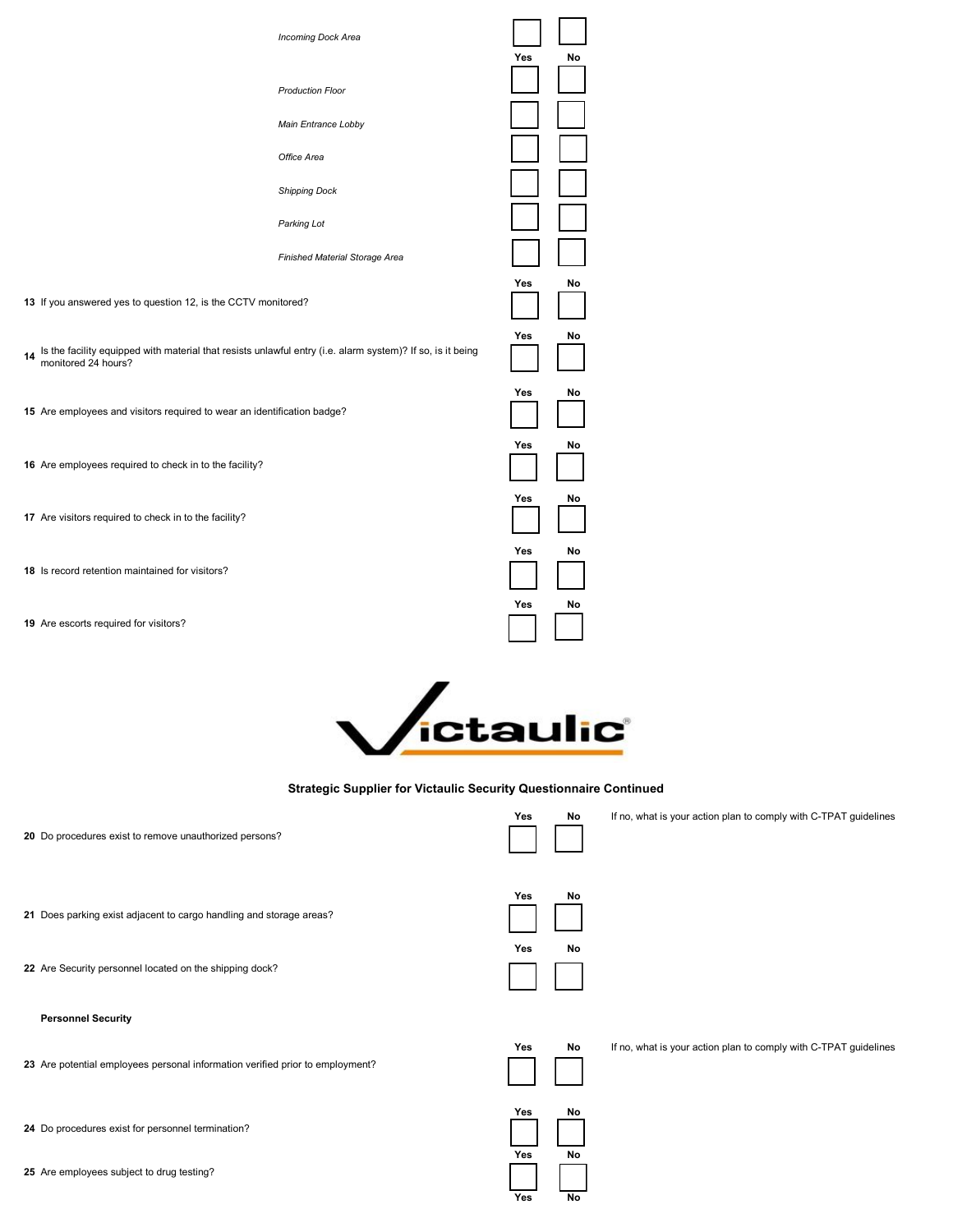



## Strategic Supplier for Victaulic Security Questionnaire Continued

| 20 Do procedures exist to remove unauthorized persons?                        | Yes<br>No              | If no, what is your action plan to comply with C-TPAT guidelines |
|-------------------------------------------------------------------------------|------------------------|------------------------------------------------------------------|
| 21 Does parking exist adjacent to cargo handling and storage areas?           | Yes<br>No              |                                                                  |
| 22 Are Security personnel located on the shipping dock?                       | Yes<br>No              |                                                                  |
|                                                                               |                        |                                                                  |
| <b>Personnel Security</b>                                                     |                        |                                                                  |
| 23 Are potential employees personal information verified prior to employment? | No<br>Yes              | If no, what is your action plan to comply with C-TPAT guidelines |
| 24 Do procedures exist for personnel termination?                             | No<br>Yes<br>No<br>Yes |                                                                  |